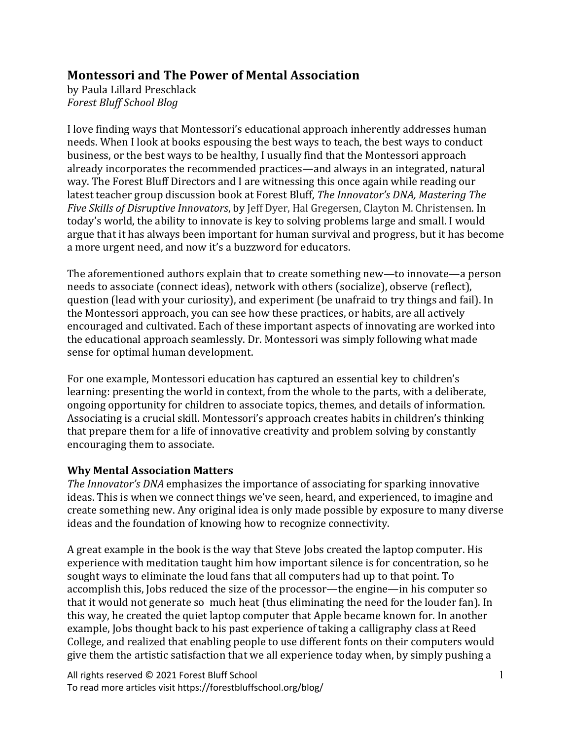## **Montessori and The Power of Mental Association**

by Paula Lillard Preschlack *Forest Bluff School Blog*

I love finding ways that Montessori's educational approach inherently addresses human needs. When I look at books espousing the best ways to teach, the best ways to conduct business, or the best ways to be healthy. I usually find that the Montessori approach already incorporates the recommended practices—and always in an integrated, natural way. The Forest Bluff Directors and I are witnessing this once again while reading our latest teacher group discussion book at Forest Bluff, *The Innovator's DNA, Mastering The Five Skills of Disruptive Innovators*, by Jeff Dyer, Hal Gregersen, Clayton M. Christensen. In today's world, the ability to innovate is key to solving problems large and small. I would argue that it has always been important for human survival and progress, but it has become a more urgent need, and now it's a buzzword for educators.

The aforementioned authors explain that to create something new—to innovate—a person needs to associate (connect ideas), network with others (socialize), observe (reflect), question (lead with your curiosity), and experiment (be unafraid to try things and fail). In the Montessori approach, you can see how these practices, or habits, are all actively encouraged and cultivated. Each of these important aspects of innovating are worked into the educational approach seamlessly. Dr. Montessori was simply following what made sense for optimal human development.

For one example, Montessori education has captured an essential key to children's learning: presenting the world in context, from the whole to the parts, with a deliberate, ongoing opportunity for children to associate topics, themes, and details of information. Associating is a crucial skill. Montessori's approach creates habits in children's thinking that prepare them for a life of innovative creativity and problem solving by constantly encouraging them to associate.

## **Why Mental Association Matters**

*The Innovator's DNA* emphasizes the importance of associating for sparking innovative ideas. This is when we connect things we've seen, heard, and experienced, to imagine and create something new. Any original idea is only made possible by exposure to many diverse ideas and the foundation of knowing how to recognize connectivity.

A great example in the book is the way that Steve Jobs created the laptop computer. His experience with meditation taught him how important silence is for concentration, so he sought ways to eliminate the loud fans that all computers had up to that point. To accomplish this, Jobs reduced the size of the processor—the engine—in his computer so that it would not generate so much heat (thus eliminating the need for the louder fan). In this way, he created the quiet laptop computer that Apple became known for. In another example, Jobs thought back to his past experience of taking a calligraphy class at Reed College, and realized that enabling people to use different fonts on their computers would give them the artistic satisfaction that we all experience today when, by simply pushing a

All rights reserved © 2021 Forest Bluff School To read more articles visit https://forestbluffschool.org/blog/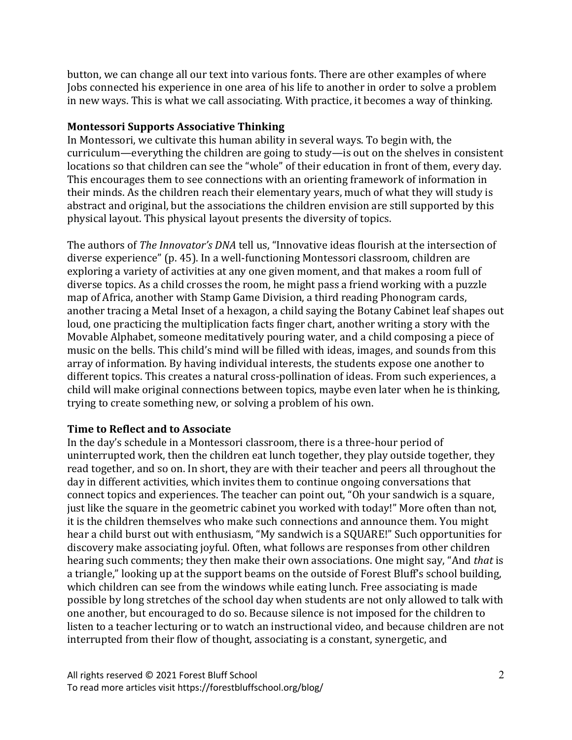button, we can change all our text into various fonts. There are other examples of where Jobs connected his experience in one area of his life to another in order to solve a problem in new ways. This is what we call associating. With practice, it becomes a way of thinking.

## **Montessori Supports Associative Thinking**

In Montessori, we cultivate this human ability in several ways. To begin with, the curriculum—everything the children are going to study—is out on the shelves in consistent locations so that children can see the "whole" of their education in front of them, every day. This encourages them to see connections with an orienting framework of information in their minds. As the children reach their elementary years, much of what they will study is abstract and original, but the associations the children envision are still supported by this physical layout. This physical layout presents the diversity of topics.

The authors of *The Innovator's DNA* tell us, "Innovative ideas flourish at the intersection of diverse experience" (p. 45). In a well-functioning Montessori classroom, children are exploring a variety of activities at any one given moment, and that makes a room full of diverse topics. As a child crosses the room, he might pass a friend working with a puzzle map of Africa, another with Stamp Game Division, a third reading Phonogram cards, another tracing a Metal Inset of a hexagon, a child saying the Botany Cabinet leaf shapes out loud, one practicing the multiplication facts finger chart, another writing a story with the Movable Alphabet, someone meditatively pouring water, and a child composing a piece of music on the bells. This child's mind will be filled with ideas, images, and sounds from this array of information. By having individual interests, the students expose one another to different topics. This creates a natural cross-pollination of ideas. From such experiences, a child will make original connections between topics, maybe even later when he is thinking, trying to create something new, or solving a problem of his own.

## **Time to Reflect and to Associate**

In the day's schedule in a Montessori classroom, there is a three-hour period of uninterrupted work, then the children eat lunch together, they play outside together, they read together, and so on. In short, they are with their teacher and peers all throughout the day in different activities, which invites them to continue ongoing conversations that connect topics and experiences. The teacher can point out, "Oh your sandwich is a square, just like the square in the geometric cabinet you worked with today!" More often than not, it is the children themselves who make such connections and announce them. You might hear a child burst out with enthusiasm, "My sandwich is a SQUARE!" Such opportunities for discovery make associating joyful. Often, what follows are responses from other children hearing such comments; they then make their own associations. One might say, "And *that* is a triangle," looking up at the support beams on the outside of Forest Bluff's school building, which children can see from the windows while eating lunch. Free associating is made possible by long stretches of the school day when students are not only allowed to talk with one another, but encouraged to do so. Because silence is not imposed for the children to listen to a teacher lecturing or to watch an instructional video, and because children are not interrupted from their flow of thought, associating is a constant, synergetic, and